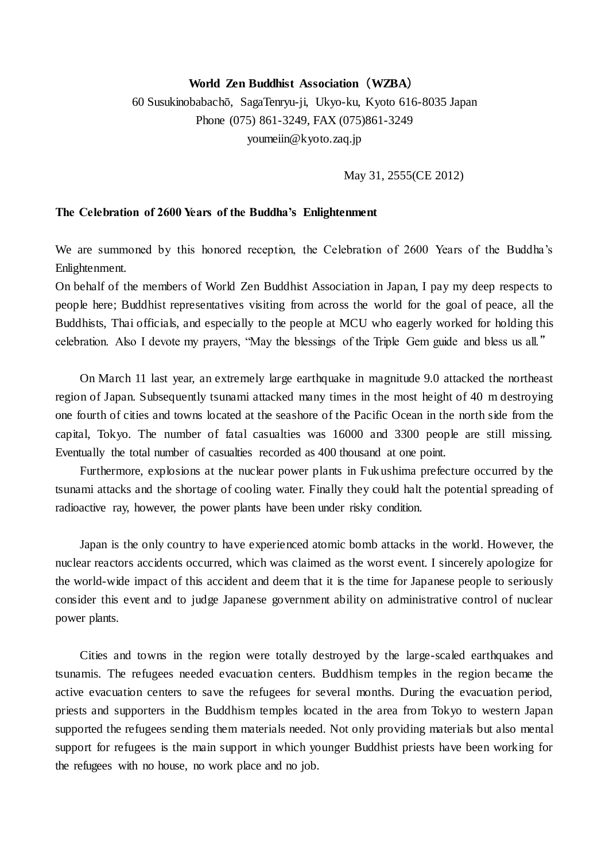## **World Zen Buddhist Association**(**WZBA**)

60 Susukinobabachō, SagaTenryu-ji, Ukyo-ku, Kyoto 616-8035 Japan Phone (075) 861-3249, FAX (075)861-3249 youmeiin@kyoto.zaq.jp

May 31, 2555(CE 2012)

## **The Celebration of 2600 Years of the Buddha's Enlightenment**

We are summoned by this honored reception, the Celebration of 2600 Years of the Buddha's Enlightenment.

On behalf of the members of World Zen Buddhist Association in Japan, I pay my deep respects to people here; Buddhist representatives visiting from across the world for the goal of peace, all the Buddhists, Thai officials, and especially to the people at MCU who eagerly worked for holding this celebration. Also I devote my prayers, "May the blessings of the Triple Gem guide and bless us all."

 On March 11 last year, an extremely large earthquake in magnitude 9.0 attacked the northeast region of Japan. Subsequently tsunami attacked many times in the most height of 40 m destroying one fourth of cities and towns located at the seashore of the Pacific Ocean in the north side from the capital, Tokyo. The number of fatal casualties was 16000 and 3300 people are still missing. Eventually the total number of casualties recorded as 400 thousand at one point.

Furthermore, explosions at the nuclear power plants in Fukushima prefecture occurred by the tsunami attacks and the shortage of cooling water. Finally they could halt the potential spreading of radioactive ray, however, the power plants have been under risky condition.

Japan is the only country to have experienced atomic bomb attacks in the world. However, the nuclear reactors accidents occurred, which was claimed as the worst event. I sincerely apologize for the world-wide impact of this accident and deem that it is the time for Japanese people to seriously consider this event and to judge Japanese government ability on administrative control of nuclear power plants.

Cities and towns in the region were totally destroyed by the large-scaled earthquakes and tsunamis. The refugees needed evacuation centers. Buddhism temples in the region became the active evacuation centers to save the refugees for several months. During the evacuation period, priests and supporters in the Buddhism temples located in the area from Tokyo to western Japan supported the refugees sending them materials needed. Not only providing materials but also mental support for refugees is the main support in which younger Buddhist priests have been working for the refugees with no house, no work place and no job.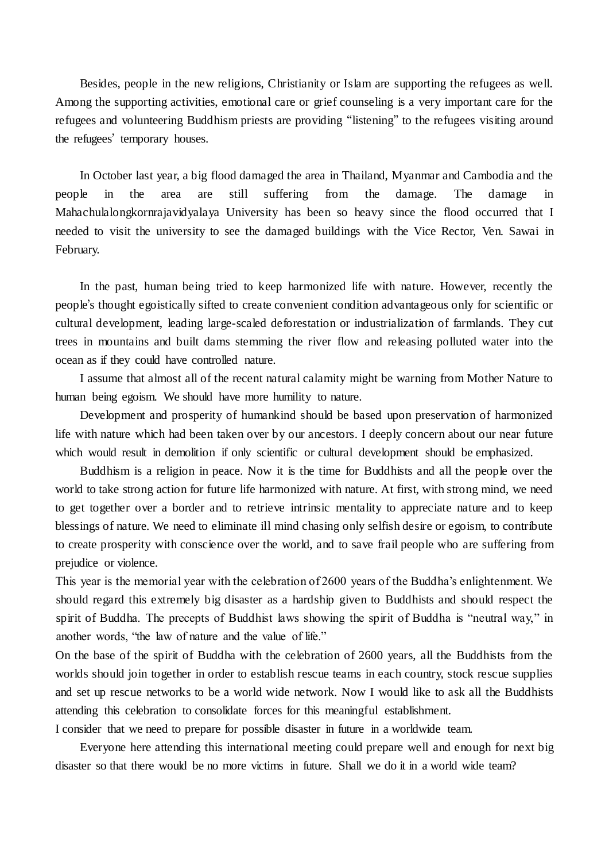Besides, people in the new religions, Christianity or Islam are supporting the refugees as well. Among the supporting activities, emotional care or grief counseling is a very important care for the refugees and volunteering Buddhism priests are providing "listening" to the refugees visiting around the refugees' temporary houses.

In October last year, a big flood damaged the area in Thailand, Myanmar and Cambodia and the people in the area are still suffering from the damage. The damage in Mahachulalongkornrajavidyalaya University has been so heavy since the flood occurred that I needed to visit the university to see the damaged buildings with the Vice Rector, Ven. Sawai in February.

In the past, human being tried to keep harmonized life with nature. However, recently the people's thought egoistically sifted to create convenient condition advantageous only for scientific or cultural development, leading large-scaled deforestation or industrialization of farmlands. They cut trees in mountains and built dams stemming the river flow and releasing polluted water into the ocean as if they could have controlled nature.

I assume that almost all of the recent natural calamity might be warning from Mother Nature to human being egoism. We should have more humility to nature.

Development and prosperity of humankind should be based upon preservation of harmonized life with nature which had been taken over by our ancestors. I deeply concern about our near future which would result in demolition if only scientific or cultural development should be emphasized.

Buddhism is a religion in peace. Now it is the time for Buddhists and all the people over the world to take strong action for future life harmonized with nature. At first, with strong mind, we need to get together over a border and to retrieve intrinsic mentality to appreciate nature and to keep blessings of nature. We need to eliminate ill mind chasing only selfish desire or egoism, to contribute to create prosperity with conscience over the world, and to save frail people who are suffering from prejudice or violence.

This year is the memorial year with the celebration of 2600 years of the Buddha's enlightenment. We should regard this extremely big disaster as a hardship given to Buddhists and should respect the spirit of Buddha. The precepts of Buddhist laws showing the spirit of Buddha is "neutral way," in another words, "the law of nature and the value of life."

On the base of the spirit of Buddha with the celebration of 2600 years, all the Buddhists from the worlds should join together in order to establish rescue teams in each country, stock rescue supplies and set up rescue networks to be a world wide network. Now I would like to ask all the Buddhists attending this celebration to consolidate forces for this meaningful establishment.

I consider that we need to prepare for possible disaster in future in a worldwide team.

Everyone here attending this international meeting could prepare well and enough for next big disaster so that there would be no more victims in future. Shall we do it in a world wide team?